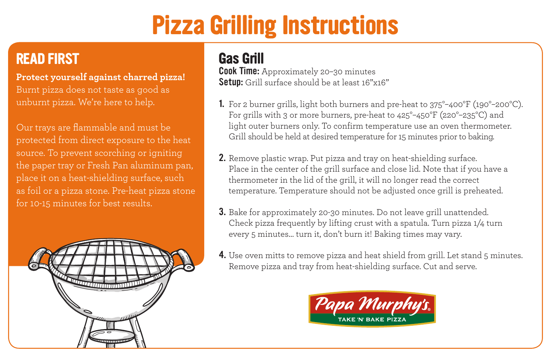# **Pizza Grilling Instructions**

## **READ FIRST**

**Protect yourself against charred pizza!** Burnt pizza does not taste as good as unburnt pizza. We're here to help.

Our trays are flammable and must be protected from direct exposure to the heat source. To prevent scorching or igniting the paper tray or Fresh Pan aluminum pan, place it on a heat-shielding surface, such as foil or a pizza stone. Pre-heat pizza stone for 10-15 minutes for best results.



### **Gas Grill**

Cook Time: Approximately 20-30 minutes Setup: Grill surface should be at least 16"x16"

- 1. For 2 burner grills, light both burners and pre-heat to 375°–400°F (190°–200°C). For grills with 3 or more burners, pre-heat to 425°–450°F (220°–235°C) and light outer burners only. To confirm temperature use an oven thermometer. Grill should be held at desired temperature for 15 minutes prior to baking.
- 2. Remove plastic wrap. Put pizza and tray on heat-shielding surface. Place in the center of the grill surface and close lid. Note that if you have a thermometer in the lid of the grill, it will no longer read the correct temperature. Temperature should not be adjusted once grill is preheated.
- 3. Bake for approximately 20-30 minutes. Do not leave grill unattended. Check pizza frequently by lifting crust with a spatula. Turn pizza 1/4 turn every 5 minutes… turn it, don't burn it! Baking times may vary.
- 4. Use oven mitts to remove pizza and heat shield from grill. Let stand 5 minutes. Remove pizza and tray from heat-shielding surface. Cut and serve.